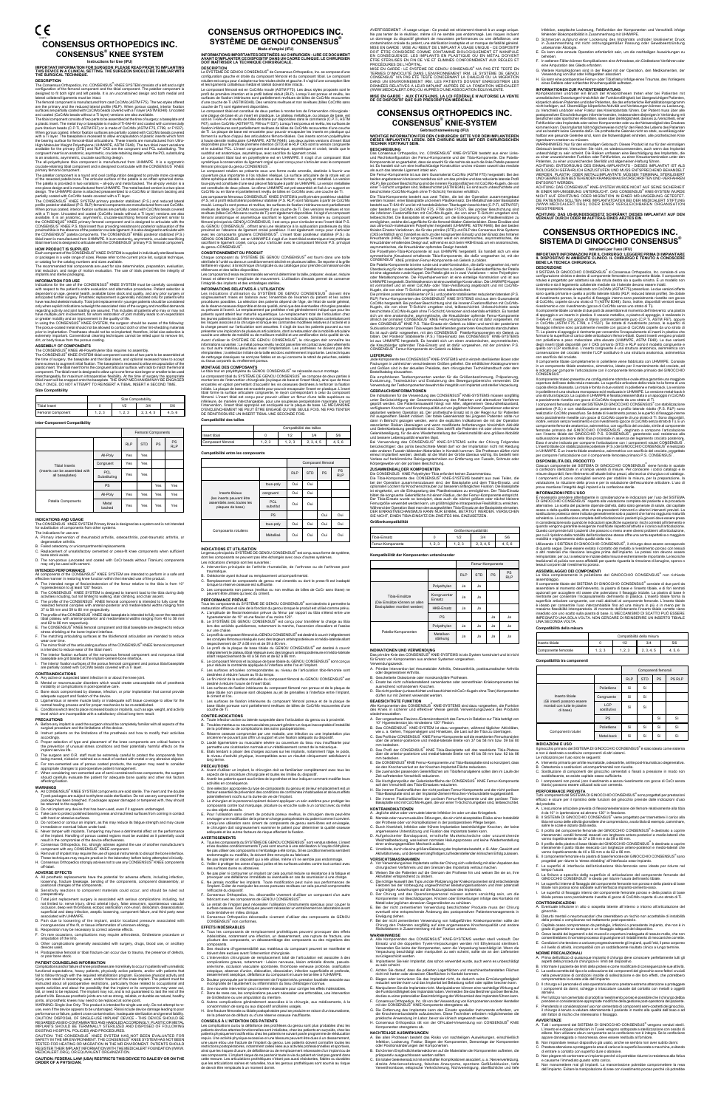# C€ **CONSENSUS ORTHOPEDICS INC. Consensus® KNEE SYSTEM**

# **Instructions for Use (IFU) IMPORTANT INFORMATION FOR SURGEON: PLEASE READ PRIOR TO IMPLANTING THIS DEVICE IN A CLINICAL SETTING. THE SURGEON SHOULD BE FAMILIAR WITH THE SURGICAL TECHNIQUE.**

DESCRIPTION<br>The Consensus Orthopedics, Inc. CONSENSUS® KNEE SYSTEM consists of a left and a right<br>configuration of the femoral component and the tibial component. The patellar component is<br>designed to fit both right and le

lateral collateral ligaments must be intact.<br>The femoral component is manufactured from cast CoCrMo (ASTM F75). The two styles offered<br>are the primary and the reduced lateral profile (RLP). When porous coated, interior fix

When porous coated, inferior fixation surfaces are partially coated with CoCrMo beads covered<br>with a Ti layer. The baseplate is recessed to allow encapsulation of plastic inserts which form<br>the bearing surface for femoral-

High Molecular Weight Polyethylene (UHMWPE, ASTM Fe848). The two tibial insert variations<br>available for the primary (STD) and RLP CKS are the congruent and PCL substituting. The<br>congruent inserts an anatomic, asymmetric, c

available. It is an anatomic, asymmetric, cruciate-sacrificing femoral component similar to CONSENSUS" KNEE primary femoral component and is designed to articulate with the CONSENSUS" KNEE P.S. tibial insert thus providing

**HOW PRODUCT IS SUPPLIED**<br>Each component of the CONSENSUS<sup>®</sup> KNEE SYSTEM is supplied in individually sterilized boxes or packages in a wide range of sizes. Please refer to the current price list, surgical technique, or catalog for the catalog numbers and sizes available.

The recommended trial components are used for size determination, preparation, evaluation, trial reduction, and range of motion evaluation. The use of trials preserves the integrity of implants and sterile packaging.

**INFORMATION FOR USE**<br>Indications for the use of the CONSENSUS® KNEE SYSTEM must be carefully considered Indications for the use of the CONSENSUS<sup>®</sup> KNEE SYSTEM must be carefully considered with respect to the patient's entire evaluation and alternative procedures. Patient selection is dependent on age, general health, availa

extremely important. Conventional cleaning techniques cannot be relied upon to remove lint, dirt, or body tissue from the porous coating.

# **ASSEMBLY OF COMPONENTS**

The CONSENSUS<sup>®</sup> KNEE All-Polyethylene tibia requires no assembly.<br>The CONSENSUS<sup>®</sup> KNEE SYSTEM tibial component consists of two parts to be assembled at the time of surgery, the baseplate and the tibial insert, and optional recessed holes to accept<br>bone screws to augment initial fixation. The baseplate is recessed to allow encapsulation of the<br>plastic insert. The tibial in

# **Size Compatibility**

|                            | Size Compatability |           |     |     |
|----------------------------|--------------------|-----------|-----|-----|
| Tibial Insert              |                    | 1/2       | 3/4 | 5/6 |
| <b>I</b> Femoral Component | ີ                  | ່າ ຈ<br>4 |     |     |

### **Inter-Component Compatibility**

|                                                                            |                            | <b>Femoral Components</b> |            |     |                  |
|----------------------------------------------------------------------------|----------------------------|---------------------------|------------|-----|------------------|
|                                                                            |                            | <b>RLP</b>                | <b>STD</b> | PS  | PS<br><b>RLP</b> |
|                                                                            | All-Poly                   | Yes                       | Yes        |     |                  |
| <b>Tibial Inserts</b><br>(Inserts can be assembled with<br>all baseplates) | Congruent                  | Yes                       | Yes        |     |                  |
|                                                                            | <b>PCL</b><br>Substituting | Yes                       | Yes        |     |                  |
|                                                                            | PS                         |                           |            | Yes | Yes              |
| Patella Components                                                         | All-Poly                   | Yes                       | Yes        | Yes | Yes              |
|                                                                            | Metal<br>backed            | Yes                       | Yes        | Yes | Yes              |

**INDICATIONS AND USAGE**<br>The CONSENSUS® KNEE SYSTEM Primary Knee is designed as a system and is not intended<br>for substitution of components from other systems.

The indications for use are:<br>A. Primary intervention of rheumatoid arthritis, osteoarthritis, post-traumatic arthritis, or<br>degenerative arthritis.

- **ADVERSE EFFECTS**<br>A. All prosthetic replacements have the potential for adverse effects, including infection,<br>loosening, fracture breakage, bending of the components, component disassembly, or<br>positional changes of the com
- B. Sensitivity reactions to component materials could occur, and should be ruled out
- preoperatively.<br>
C. Total joint replacement surgery is associated with serious complications including, but<br>
In thi initial to: nerve injury, direct arterial injury, false aneurysm, spontaneous vascular<br>
occlusion, deep ve
- D. Pain due to loosening of the implant, and/or localized pressure associated with<br>incongruencies of the fit or tissue inflammation of unknown etiology.
- 
- incongruencies of the fit, or tissue inflammation of unknown etiology.<br>E. Reoperation may be necessary to correct adverse effects.<br>F. On rare occasions, complications may require arthrodesis, Girdlestone procedure or<br>amput
- G. Other complications generally associated with surgery, drugs, blood use, or ancillary evices used.
- H. Postoperative femoral or tibial fracture can occur due to trauma, the presence of defects,

or poor bone stock.<br>
The particular control and the production of May and DV and DV and DV and DV and DV and DV and DV and DV and DV and DV and Software and the film of the production spectrations, heavy partiers and the f

B. Failed osteotomy or unicompartmental replacements.

C. Replacement of unsatisfactory cemented or press-fit knee components when sufficient bone stock exists.

# D. The non-porous (uncoated and coated with CoCr beads without Titanium) components may only be used with cement.

**INTENDED PERFORMANCE**<br>All components of the CONSENSUS<sup>®</sup> KNEE SYSTEM are intended to perform in a safe and<br>effective manner in restoring knee function within the intended use of the product.<br>A. The intended range of flexi

Experience is on to at least 120 illeable.<br>B. The CONSENSUS® KNEE SYSTEM is designed to transmit load to the tibia during daily

- B. The CONSENSUS" KNEE SYSTEM is designed to transmit load to the tibia during daily<br>activities including, but not limited to walking, stair climbing, and chair assent.<br>C. The profile of the CONSENSUS KNEE femoral componen
- 
- D. The profile of the CONSENSUS" KNEE tibial basepiate is intended to fully cover the resected<br>tibial plateau with anterior-posterior and medial-lateral widths ranging from 40 to 56 mm<br>and 62 to 86 mm respectively.<br>E. The
- 
- G. The mirror finish of the articulating surface of the CONSENSUS® KNEE femoral component is intended to reduce wear of the tibial insert.
- H. The interior fixation surfaces of the nonporous femoral component and nonporous tibial baseplate are grit blasted at the implant-cement-bone interface.
- I. The interior fixation surfaces of the porous femoral component and porous tibial baseplate<br>are partially coated with CoCrMo beads covered with a Ti layer.

are partially coated with CoCrMo beads covered with a Ti layer. **CONTRAINDICATIONS** A. Any active or suspected latent infection in or about the knee joint.

B. Mental or neuromuscular disorders which would create unacceptable risk of prosthesis instability or complications in post-operative care. C. Bone stock compromised by disease, infection, or prior implantation that cannot provide

- adequate support and fixation of the device.
- D. Ligamentous or severe muscle laxity or inadequate soft tissue coverage to allow for the normal healing process and for proper mechanics to be re-established.
- E. Conditions which tend to place increased loads on implants, such as age, weight, and activity level which are incompatible with a satisfactory clinical long-term result.

## **PRECAUTIONS**

- ant is used the surgeon should be completely familiar with all aspects of the surgical procedure and the limitations of the device.
- B. Instruct patients on the limitations of the prosthesis and how to modify their activities
- accordingly. C. Proper selection of type and placement of the knee components are critical factors in the prevention of unusual stress conditions and their potentially harmful effects on the
- implant service life.<br>The surgeon and O.R. staff must be extremely careful to protect the components from<br>being marred, nicked or notched as a result of contact with metal or any abrasive objects.<br>E. For non-cemented use o
- 
- 

- affecting fixation.<br>WARNINGS<br>A. AII CONSENSUS<sup>®</sup> KNEE SYSTEM components are sold sterile. The insert and the double<br>Tyvek packages are subject to ethylene oxide sterilization. Do not use any component if the<br>package has be
- 
- C. Take care to protect polished bearing areas and machined surfaces from coming in contact with hard or abrasive surfaces.
- which divided or contour an implant, as this may reduce its fatigue strength and may cause<br>D. Do not bend or contour an implant, as this may reduce its fatigue strength and may cause
- immediate or eventual failure under load.<br>E. Never tamper with implants. Tampering may have a detrimental affect on the performance<br>of the implant. Handling of porous coated regions must be avoided as it potentially could<br>
- 
- 
- 

Jede Komponente des CONSENSUS® KNIE-SYSTEMS wird in einzeln sterilisierten Boxen oder Packungen in zahlreichen verschiedenen Größen geliefert. Die erhältlichen Katalognummern und Größen sind in der aktuellen Preisliste, dem chirurgischen Technikhandbuch oder dem

Bestellkatalog einzusehen.<br>Die empfohlenen Testkomponenten werden für die Größenbestimmung, Präparierung,<br>Evaluierung, Testreduktion und Evaluierung des Bewegungsbereichs verwendet. Die<br>Verwendung der Testkomponenten bewah

GEBRAUCHISINFORMATIONEN<br>Die Indikationen für die Verwendung des CONSENSUS<sup>®</sup> KNIE-SYSTEMS müssen sorgfältig<br>unter Berücksichtigung der Gesamtevaluerung des Patienten und alternativer Verfahren<br>geprüft werden. Die Patientem dann in Betracht gezogen werden, wenn die expliziten Indikationen die mit der Operation<br>assoziierten Risiken überwiegen und wenn modifizierte Anforderungen hinsichtlich Aktivität<br>und Gelenkbelastung gewährleistet sind. Die

und bessere Lebensqualität erwarten lässt.<br>Bei Verwendung des CONSENSUS<sup>®</sup> KNIE-SYSTEMS sollte der Chirurg Folgendes<br>berücksichtigen: das poros beschichtele Metall darf vor der Implantation nicht mit Kleidung<br>oder anderen

ZUSAMMENBAU, DER KOMPONENTER<br>Die CONSENSUS® KNIE Polyethylen-Tibia erfordert keinen Zusammenbau.<br>Die CINSENSUS® KNIE Polyethylen-Tibia erfordert keinen Zusammenbau.<br>Dei der Operation zusammenzubauen sind, der Basisplatte u Der Tibia-Einsatz wurde so konzipiert, dass auch die nächst größere oder nächst kleinere<br>Femurgröße verwendet werden kann, um größtmögliche intraoperative Flexibilität zu erreichen.<br>Während der Operation lässt man den ausg SIE NICHT, EINEN TIBIA-EINSATZ EIN ZWEITES MAL EINZUSETZEN.

WARNING: Single Use Only: This product is intended for single use only. Do not attempt to reuse, even if the device appears to be undamaged. Risks include device damage leading to poor performance or failure, patient cross-contamination, inadequate sterilization and general liability.<br>CAUTION: DISPOSAL OF SINGLE-USE IMPLANT DEVICE - THIS DEVICE SHOULD BE<br>REGARDED AS BIO-CONTAMINATED AND HANDLED ACCORDING IMPLANTS SHOULD BE TERMINALLY STERILIZED AND DISPOSED OF FOLLOWING EXISTING HOSPITAL POLICIES AND PROCEDURES.

CAUTION: THE CONSENSUS<sup>®</sup> KNEE SYSTEM HAS NOT BEEN EVALUATED FOR<br>SAFETY IN THE MR ENVIRONMENT. THE CONSENSUS<sup>®</sup> KNEE SYSTEM HAS NOT BEEN TESTED FOR HEATING OR MIGRATION IN THE MR ENVIROMENT. PATIENTS SHOULD<br>REGISTER THEIR IMPLANT INFORMATION WITH THE MEDICALERT FOUNDATION (WWW.<br>MEDICALERT.ORG), OR EQUIVALENT ORGANIZATION.

- WARNHINWEISE<br>A. Alle Komponenten des CONSENSUS® KNIE-SYSTEMS werden steril verkauft. Der<br>Einsatz und die doppelten Tyvek-Verpackungen werden mit Ethylenoxid sterilisiert.<br>Verwenden Sie keine der Komponenten, wenn die Verpa zurückgeschickt werden.
- B. Implantieren Sie kein Implantat, das schon verwendet wurde, auch wenn es unbeschädigt
- C. Achten Sie darauf, dass die polierten Lagerflächen und maschinenbehandelten Flächen
- 
- C. Achten Sie darauf, dass die polieten Lagerflächen und maschinenbehandelten Flächen<br>
nicht mit harten oder abrasiven Oberflächen in Kontakt kommen.<br>
D. Biegen oder konturieren Sie das Implantat brief belastung sofot oder
- G. Die Entfernung des Implantats kann den Einsatz spezieller Instrumente erfordern, um die Knochenverbundstelle aufzubrechen. Diese Techniken erfordern möglicherweise die

# **CAUTION: FEDERAL LAW (USA) RESTRICTS THIS DEVICE TO SALE BY OR ON THE ORDER OF A PHYSICIAN.**

base tibiale non poreuse sont décapées au jet de grenailles à l'interface entre l'implant,<br>l. Les surfaces de fixation intérieures du composant fémoral poreux et de la plaque de<br>l. Les surfaces de fixation intérieures du c

Infektion, aseptische Lockerung, Fehlfunktion der Komponenten und Verschleiß infolge<br>fehlender Biokompatibilität in Zusammenhang mit UHMWPE.<br>D. Schmerzen aufgrund einer Lockerung des Implantats und/oder lokalisierter Druck E. Es kann eine erneute Operation erforderlich sein, um die nachteiligen Auswirkungen zu

beheben.<br>E. In seltenen Fällen können Komplikationen eine Arthrodese, ein Girdlestone-Verfahren oder<br>E. In seltene Mamplikationen sind in der Gegel mit der Operation, den Medikamenten, der<br>O. Weitre Komplikationen sind in

INFORMATIONEN ZUR PATIENTENBERATIUNG<br>Komplikationen und/oder ein Bruch der Krieprothesen treten eher bei Patienten mit<br>unrealistischen Erwartungen hinsichtlich der Funktionsfähigkeit, bei übergewichtigen Patienten,<br>körperl

**MISE EN GARDE : AUX ÉTATS-UNIS, LA LOI FÉDÉRALE N'AUTORISE LA VENTE DE CE DISPOSITIF QUE SUR PRESCRIPTION MÉDICALE.**

**CONSENSUS ORTHOPEDICS INC.**

**CONSENSUS® KNIE–SYSTEM**<br>Gebrauchsanweisung (IFU)<br>DIESES IMPLANTATION FÜR DEN CHIRURGEN: BITTE VOR DEM IMPLANTIEREN<br>DIESES IMPLANTATS LESEN. DER CHIRURG MUSS MIT DER CHIRURGISCHEN<br>TECHNIK VERTRAUT SEIN.

**BESCHREIBUNG**<br> **EESCHREIBUNG**<br> **EESCHREIBUNG**<br> **EESCHREIBUNG**<br> **EESCHREIBUNG**<br> **ERREIBUNG**<br>
CONSENSING CONSENSING CONSENSING CONSENSING CONSENSING CONSENSING CONSENSING CONSENSING CONSENSING CONSENSING CONSENSING CONSENSI

Kreuzbänds (HKB). Der kongruente Einsatz weist ein anatomisches, asymmetrisches, die Kreuzbänder erhaltendes Design auf, während es sich beim HKB-Ersatz um ein anatomisches, die Kreuzbänder opferndes Design handelt.<br>Die Po

Kugeln, die von einer Ti-Schicht umgeben sind, teilbeschichtet. Unbeschichtete sowie<br>Reschichtete (CoCnMo-Kugeln ohner Ti-Schicht) Versionen sind ebenfalls erhältlich. Es handelt<br>sich um eine anatomische, asymmetrische, di

Fehlfunktion des Implantats oder seiner Komponenten oder zu der Notwendigkeit des Ersatzes<br>kommen kann. Das Implantat hält möglicherweise nicht für den Rest des Lebens des Patienten<br>und es besteht keine Garantie dafür. Da WARNHINWEIS: Nur für den einmaligen Gebrauch: Dieses Produkt ist nur für den einmaligen Gebrauch bestimmt. Versuchen Sie nicht, es wiederzuverwenden, auch wenn das Implantat

unbeschädigt zu sein scheint. Die Risiken umfassen eine Beschädigung des Implantats, die<br>zu einer unzureichenden Funktion oder Fehlfunktion, zu einer Kreuzkontamination unter den<br>Patienten, zu einer unzureichenden Steilitä

UND GEMÄSS DEN BESTEHENDEN KRANKENHAUSVORSCHRIFTEN UND -VERFAHREN<br>ENTSORGT WERDEN. ENTSORGT WERDEN.<br>ACHTUNG: DAS CONSENSUS® KNIE-SYSTEM WURDE NICHT AUF SEINE SICHERHEIT<br>IN EINER MR-UMGEBUNG UNTERSUCHT. DAS CONSENSUS® KNIE-SYSTEM WURDE<br>NICHT AUF ERHITZUNG ODER MIGRATION IN EINER MR-UMGEBUNG GETESTET.<br>DIE (WWW.MEDICALERT.ORG) ODER EINER VERGLEICHBAREN ORGANISATION REGISTRIEREN. **ACHTUNG: DAS US-BUNDESGESETZ SCHRÄNKT DIESES IMPLANTAT AUF DEN VERKAUF DURCH ODER IM AUFTRAG EINES ARZTES EIN. CONSENSUS ORTHOPEDICS INC.** SISTEMA DI GINOCCHIO CONSENSUS<sup>®</sup>

IMPORTANTI INFORMAZIONI PER IL CHIRURGO: LEGGERE PRIMA DI IMPIANTARE<br>IL DISPOSITIVO IN AMBIENTE CLINICO. IL CHIRURGO È TENUTO A CONOSCERE<br>BENE LA TECNICA CHIRURGICA.

DESCRIZIONE<br>Il SISTEMA DI GINOCCHIO CONSENSUS<sup>®</sup> di Consensus Orthopedics, inc. consiste di una<br>configurazione sinistra e destra di componente femorale e componente tibiale. Il componente<br>rotuleo è progettato per adattarsi

costretto e sia il egamento collaterale mediale i alialterale devono essere intatti.<br>Il componente femorale è realizzato con CoCrMo (ASTM F75) pressoduso. Le due versioni offerte sono quella primaria e quella a profito di

Il componente tibiale completamente in polietilene viene fabbricato con UHMWPE. Consiste<br>in un componente tibiale anatomico, simmetrico, ideato per il mantenimento del crociato, ed<br>è indicato per comporre l'articolazione Il componente rotuleo presenta una configurazione rotonda e ovale atta a garantire una maggiore copertura dell'osso della rotula resecato. La superficie articolare della rotula ha la forma di una<br>cupola sferica disassata. La rotula è fornita in due varianti: in polietilene e metal-back. La versione<br>in polietilene è u

una struttura bipezzo. La cupola in UHMWPE é fissata preassemblata a un appoggio in CoCMo<br>e parzialmente rivestita con goce di CoCMo ricoperte da uno strato di Ti.<br>Componenti fermoni primari del SISTEMA DI GINOCCHIO CONSEN

## **LIEFERUNG**

Componenti femorali RLP STD PS PS RLP

- a. Intervento primario per artrite reumatoide, osteoartrite, artrite post-traumatica o degenerativa.<br>.. Intervento primario per artrite reumatoide, osteoartrite, artrite post-traumatica o degenerativa.<br>. Osteotomia o B. Osteotomia o sostituzioni unicompartimentali non riuscite.<br>C. Sostituzione di componenti del ginocchio cementati o fissati a pressione in modo non<br>soddisfacente, se esiste capitale osseo sufficiente. D. I componenti non porosi (con rivestimento e senza rivestimento con gocce di CoCr senza titanio) possono essere utilizzati solo con cemento.

Tutti i componenti del SISTEMA DI GINOCCHIO CONSENSUS<sup>®</sup> sono progettati per prestazioni<br>efficaci e sicure per il ripristino delle funzioni del ginocchio previste dalle indicazioni d'uso dodo.<br>scursione articolare prevista di flessione/estensione del femore relativamente alla tibia A. L'escursione articolare prevista di fiessione eferestensione del femore relativamente alla tibia<br>
è da 10° in ipertensione ad allmeno 120° in flessione.<br>
B. Il SISTEMA DI GINOCCHIO CONSENSUS<sup>®</sup> viene progettato per tra Il profilo del componente femorale del GINOCCHIO CONSENSUS<sup>∝</sup> è destinato a coprire<br>interamente i condili femorali resecati con larghezze antero-posteriori e medio-laterali che

D. Il profilo della piastra di base tibiale del GINOCCHIO CONSENSUS<sup>®</sup> è destinato a coprire D. Il profilo della piastra di base tibiale del GINOCCHIO CONSENSUS<sup>-</sup> è destinato a coprire<br>
unteramente il piatto tibiale resecato con larghezze antero-posteriori e medio-laterali che<br>
vanno rispettivamente da 40 a 56 mm

G. La finitura a specchio della superficie di articolazione del componente femorale del<br>GINOCCHIO CONSENSUS® è ideata per ridurre l'usura dell'inseto tibiale.<br>H. Le superfici interne di fissaggio del componente finorale no I. Le superfici di fissaggio interno del componente femorale poroso e della piastra di base tibiale porosa sono parzialmente rivestite di gocce di CoCrMo coperte di uno strato di Ti. **CONTROINDICAZIONI** A. Eventuale infezione in atto o sospetta latente all'interno o intorno all'articolazione del

ginocchio.<br>
El piocchio con accettabile di instabilità<br>
della protesi o complicanze nel trattamento post-operatorio.<br>
C. Capitale osseo compromesso da patologie, infezioni o precedente impianto, che non è in<br>
grado di gara

**NORME PRECAUZIONALI**<br>A. Prima dell'Utilizzo di qualunque impianto il chirurgo deve conoscere perfettamente tutti gli<br>aspetti della procedura chirurgica e i limiti del dispositivo.<br>B. Informare il paziente dei limiti della

**Größenkompatibilität**

|                  | Größenkompatibilität |     |            |       |  |
|------------------|----------------------|-----|------------|-------|--|
| Fibia-Einsatz    |                      | 1/2 | 3/4        | 5/6   |  |
| Femur-Komponente | .2.3                 |     | 2, 3, 4, 5 | 4.5.6 |  |

# **Kompatibilität der Komponenten untereinander**

|                                                 |                        | Femur-Komponente |            |    |                         |
|-------------------------------------------------|------------------------|------------------|------------|----|-------------------------|
|                                                 |                        | <b>RLP</b>       | <b>STD</b> | PS | <b>PS</b><br><b>RLP</b> |
| Tibia-Finsätze<br>(Die Einsätze können an allen | Polyethylen            | Ja               | Ja         |    |                         |
|                                                 | Kongruenter<br>Einsatz | Ja               | Ja         |    |                         |
| Basisplatten montiert werden)                   | <b>HKB-Ersatz</b>      | Ja               | Ja         |    |                         |
|                                                 | PS                     |                  |            | Ja | Ja                      |
| Patella-Komponenten                             | Polyethylen            | Ja               | Ja         | Ja | Ja                      |
|                                                 | Metallver-<br>stärkung | Ja               | Ja         | Ja | Ja                      |

**INDIKATIONEN UND VERWENDUNG**<br>Das primäre Knie des CONSENSUS<sup>®</sup> KNIE-SYSTEMS ist als System konstruiert und ist nicht für Ersatz von Komponenten aus anderen Sys

Verwendungszweck: A. Primäre Intervention bei rheumatoider Arthritis, Osteoarthritis, posttraumatischer Arthritis der degenerativer Arthritis B. Gescheiterte Osteotomie oder monokondyläre Prothesen. C. Ersatz bei nicht zufriedenstellend zementierten oder zementfreien Kniekomponenten bei ausreichend vorhandenem Knochen.

couche de Ti) sont également disponibles.<br>Le composant tibial est constitué de deux parties à monter lors de l'intervention chirurgicale :<br>une plaque de base et un insert en plastique. Le plateau métallique, ou plaque de b de Ti. La plaque de base est encastrée pour pouvoir encapsuler les inserts en plastique qui<br>forment la surface d'appui des articulations fémoro-tibiales. Ces inserts sont en polyéthylène<br>à haute densité moléculaire (UHMWPE et le substitut PCL. L'insert congruent est anatomique, asymétrique et croisé, tandis que le susbtitut est anatomique, asymétrique, avec sacrifice du ligament croisé.

Le composant tibial tout en polyéthylène est en UHMWPE. Il s'agit d'un composant tibial<br>symétrique à conservation du ligament croisé qui est conçu pour s'articuler avec le composant<br>fémoral principal du genou CONSENSUS®.

Le composant rotulien se présente sous une forme ovale arrondie, destinée à foronir une couperduce plus importante à l'os rotulien réséqué. La surface articulaire de la rotule est un<br>dome sphérique décalé. La rotule existe

revelues Colliers Coc7Mo sans couche de Ti) sont également disponibles. Il s'agit d'un composant démental anatomique et asymétrique sacrifiant le ligament croisé. Similaire au composant démenta principal du GENOU CONSENSUS

- wiederherzustellen. A. Der vorgesehene Flexions-/Extensionsbereich des Femurs in Relation zur Tibia beträgt von 10° Hyperextension bis mindestens 120° Flexion.
- 
- B. Das CONSENSUS® KNIE-SYSTEM ist dazu vorgesehen, während täglicher Aktivitäten,<br>wie u. a. Gehen, Treppensteigen und Hinsetzen, die Last auf die Tibia zu übertragen.<br>C. Das Profil der CONSENSUS® KNIE Femu-Komponente soll
- mm bedecken. D. Das Profil der CONSENSUS® KNIE Tibia-Basisplatte soll das resektierte Tibia-Plateau über die anterior-posteriore und medial-laterale Breite von 40 bis 56 mm bzw. 62 bis 86 mm bedecken.
- E. Die CONSENSUS® KNIE Femur-Komponente und Tibia-Basisplatte sind so konzipiert, dass
- sie den Knochenverlust an der Knochen-Implantat-Fläche reduzieren.<br>F. Die zueinander passenden Gelenkflächen am Tibiofemoralgelenk sollen den im Laufe der<br>Zeit auftretenden Verschleiß reduzieren.
- G. Die Hochglanzpolitur der Gelenkoberfläche der CONSENSUS® KNIE Femur-Komponente
- soll den Verschleiß des Tibia-Einsatzes reduzieren.<br>H. Die inneren Fixationsflächen der nicht porösen Femur-Komponente und der nicht porösen<br>Tibia-Basisplatte sind an der Implantat-Zement-Knochen-Verbundstelle kugelgestra
- I. Die inneren Fixationsflächen der porösen Femur-Komponente und der porösen Tibia-Basisplatte sind mit CoCrMo-Kugeln, die von einer Ti-Schicht umgeben sind, teilbeschichtet.

- **KONTRAINDIKATIONEN**<br>A. Jegliche aktive oder vermutete latente Infektion im oder um das Kniegelenk
- 
- 
- A. Jeglien aktive oder vermutete latente Infektion im oder um das Kniegelenk,<br>B. Mentale oder neuromuskuläre Störungen, die ein nicht akzeptables Risiko einer Instabilität<br>der Prothese oder von Komplikationen in der postop
- einer ordnungsgemäßen Mechanik zulässt.<br>E. Umstände, durch die eine größere Belastung der Implantate besteht, z. B. Alter, Gewicht und<br>Aktivitätsniveau, und die keinen langfristigen zufriedenstellenden klinischen Erfolg z

- VORSICHTSMASSNAHMEN<br>A. Vor Verwendung eines Implantats sollte der Chirurg sich vollständig mit allen Aspekten des<br>Chirurgischen Verfahrens und den Grenzen des Implantats vertraut machen.<br>B. Weisen Sie eie an, ihre<br>Atkivitä
- 
- r Vorbeugung ungewormmung autocomigaanse.<br>swirkungen auf die Nutzungsdauer des Implantats.
- D. Der Chirurg und das Operationspersonal müssen extrem vorsichtig sein, um die Komponenten vor Beschädigungen, Knicken oder Einkerbungen infolge des Kontakts mit
- Metall oder jeglichen abrasiven Gegenständen zu schützen.<br>E. Bei der nicht zementierten Verwendung beschichteter Produkte muss der Chirurg<br>eventuell eine entsprechende Änderung des postoperativen Patientenmanagements in
- Erwägung ziehen.<br>F. Bei der nicht zementierten Verwendung von halbgeführten Kniekomponenten sollte der<br>Chirurg den Patienten sorgfältig auf eine angemessene Knochenqualität und andere<br>Risikofaktoren in Zusammenhang mit der

Chaque composant du SYSTÈME DE GENOU CONSENSUS<sup>®</sup> est fourni dans une boîte stérilisée à l'unité ou dans un conditionnement décliné en plusieurs tailles. Se reporter à la grille tarifaire en vigueur, à la technique chirurgicale ou au catalogue pour prendre connaissance des

références et des tailles disponibles.<br>Les composants d'essai recommandés servent à déterminer la taille, préparer, évaluer, réduire<br>l'essai et déterminer l'amplitude de mouvement. L'utilisation d'essais permet de conserve

INFORMATIONS RELATIVES A L'UITILISATION<br>Les indications d'utilisation du SYSTÈME DE GENOU CONSENSUS<sup>®</sup> doivent être<br>soigneusement misse en balance avec l'ensemble de l'exemen du patient et les autres<br>procédures possibles. suscite une attente de mobilité ou de meilleure mobilité et une amélioration de la qualité de vie.<br>Avant d'utiliser le SYSTÈME DE GENOU CONSENSUS<sup>®</sup>, le chiurgien doit connaître les<br>informations suivantes : Le métal poreux

ou tissus corporels du revêtement poreux.<br>MONTAGE DES COMPOSANTS<br>Le tibia tout en polyéthylène du GENOU CONSENSUS® ne nécessite aucun montage.<br>Le tibia tout en polyéthylène du GENOU CONSENSUS® se compose de deux parties à<br> **Compatibilité des tailles**

Intervention principale de l'arthrite rhumatoïde, de l'arthrose ou de l'arthrose posttraumatique.

**PERFORMANCE PREVUE**<br>Tous les composants du SYSTÈME DE GENOU CONSENSUS<sup>®</sup> sont destinés à permettre la<br>restauration efficace et sûre de la fonction du genou lorsque le produit est utilisé comme prévu. A. L'amplitude de flexion/extension prévue du fémur par rapport au tibia s'étend entre une hyperextension de 10° et une flexion d'au moins 120°.

B. Le SYSTÈME DE GENOU CONSENSUS<sup>®</sup> est conçu pour transférer la charge au tibia<br>lors des activités quotidiennes, notamment la marche, l'ascension d'escaliers et l'assise

sur une chaise.<br>C. Le profil du composant fémoral du GENOU CONSENSUS<sup>®</sup> est destiné à couvrir intégralement<br>les condyles fémoraux réséqués avec des largeurs antéropostérieure et médio-latérale allant<br>respectivement de 37 à

E. Le composant fémoral et la plaque de base tibiale du GENOU CONSENSUS® sont conçus<br>pour réduire la contrainte appliquée à l'interface entre l'os et l'implant.<br>F. Les surfaces articulées correspondantes au niveau de l'art

G. Le fini miroir de la surface articulée du composant fémoral du GENOU CONSENSUS<sup>®</sup> est<br>destiné à réduire l'usure de l'insert tibial.<br>H. Les surfaces de fixation intérieures du composant fémoral non poreux et de la plaque

AVERTISSEMENT : A usage unique : Ce produit est strictement réservé à un usage unique.<br>Ne pas tenter de le réutiliser, même s'il ne semble pas endommagé. Les risques incluent<br>un dommage du dispositif générant de mauvaises MISE EN GARDE : MISE AU REBUT DE L'IMPLANT À USAGE UNIQUE - CE DISPOSITIF DOIT ÊTRE CONSIDÉRÉ COMME CONTAMINÉ BIOLOGIQUEMENT ET MANIPULÉ EN CONSEQUENCE. LES IMPLANTS EN PLASTIQUE OU EN METAL DOIVENT<br>ÊTRE STÉRILISÉS EN FIN DE VIE ET ÉLIMINÉS CONFORMÉMENT AUX RÈGLES ET<br>PROCÉDURES DE L'HÔPITAL.<br>MISE EN GARDE : LE SYSTÈME DE GENOU CONSENSUS<sup>®</sup> N'A PAS ÉTÉ TESTÉ

- couche de Ti.<br>CONTRE-INDICATIONS<br>A. Toute infection active ou latente suspectée dans l'articulation du genou ou à proximité.
- B. Troubles mentaux ou neuromusculaires pouvant générer un risque inacceptable d'instabilité<br>de la prothèse ou de complications des soins postopératoires.<br>C. Réserve osseuse compromise par une maladie, une infection ou une
- D. Laxité ligamentaire ou musculaire sévère ou couverture du tissu mou insuffisante pour
- permettre une cicatrisation normale et un rétablissement correct de la mécanique.
- E. États tendant à placer des charges accrues sur les implants, notamment l'âge, le poids, le niveau d'activité physique, incompatibles avec un résultat cliniquement satisfaisant à long terme.

- A. Avant d'utiliser un implant, le chirurgien doit se familiariser complètement avec tous les
- aspects de la procédure chirurgicale et toutes les limites du dispositif. B. Avertir les patients quant aux limites de la prothèse et leur indiquer comment modifier leurs activités en conséquence.
- C. Une sélection appropriée du type de composants du genou et de leur emplacement est un facteur essentiel de prévention des conditions de contraintes inhabituelles et de leurs effets potentiellement nocifs sur la durée de vie de l'implant.
- D. Le chirurgien et le personnel opérant doivent appliquer un soin extrême pour protéger les
	-
- composants contre tout marquage, plicature ou encoche suite à un contact avec du métal<br>course outes objets abrasifs.<br>E. Pour l'utilisation sans ciment de produits poreux revêtus, le chirurgien devra peut-être<br>envisage une

- **AVERTISSEMENTS**<br>A. Tous les composants du SYSTÈME DE GENOU CONSENSUS<sup>®</sup> sont vendus stériles. L'insert et les doubles conditionnements Tyvek sont soumis à une stérilisation à l'oxyde d'éthylène. Ne pas utiliser ces composants si l'emballage a été rompu. Si les conditionnements semblent
- endommagés ou modifiés, ils doivent être renvoyés au fabricant. B. Ne pas implanter un dispositif qui a été utilisé, même s'il ne semble pas endommagé.
- C. Veiller à protéger les zones d'appui polies et les surfaces usinées contre tout contact avec
- des surfaces dures ou abrasives. D. Ne pas plier ni contourner un implant car cela pourrait réduire sa résistance à la fatigue et
- provoquer une défaillance immédiate ou éventuelle en cas de soumission à une charge.<br>E. Ne jamais modifier les implants. Toute modification peut nuire aux performances de<br>Fimplant. Éviter de manipuler les zones poreuses r
- l'efficacité du dispositif. F. Consensus Orthopedics, Inc. déconseille vivement d'utiliser un composant d'un autre fabricant avec les composants de GENOU CONSENSUS® .
- G. Le retrait de l'implant peut nécessiter l'utilisation d'instruments spéciaux pour couper la surface osseuse. Ces techniques peuvent nécessiter un entraînement en laboratoire avant en laboratoire avant en laboratoire avant en laboratoire avant en laboratoire avant en laboratoire avant en laboratoire avant en labor toute tentative en milieu clinique
- H. Consensus Orthopedics déconseille vivement d'utiliser des composants de GENOU<br>CONSENSUS® non conformes.

praktische Anwendung im Labor, bevor sie klinisch angewandt werden. H. Consensus Orthopedics rät von der Off-Label-Verwendung von CONSENSUS® KNIE

A. Bei allen Prothesen besteht das Risiko von nachteiligen Auswirkungen, einschließlich<br>Infektion, Lockerung, Fraktur, Biegen der Komponenten, Demontage der Komponenten<br>der Positionsänderungen der Komponenten.<br>B. Es könnte

präoperativ ausgeschlossen werden sollten.<br>C. Ein totaler Gelenkersatz ist mit emsthaften Komplikationen assoziiert, u. a.: Nervenverletzung,<br>direkte Arterienverletzung, falsches Aneurysma, spontane Gefäßokklusion, tiefe<br>V

Komponenten strengstens ab. **NACHTEILIGE AUSWIRKUNGEN**

CONSEILS A L'INTERTITION DES PATTENTS<br>Les complications puiou la défaillance des profinéess du genou sont plus probables chez les<br>patients dont les attentes fonctionnelles sont irréalistes, chez les patients en surpoids, c ses composants. L'implant risque de ne pas tenir toute la vie du patient et n'est pas garanti dans<br>cette mesure. Les articulations prothétiques n'étant pas aussi résistantes, fiables ou durables<br>que les articulations saine de devoir être remplacés à un moment donné.

- dürfen nur mit Zement verwendet werden.<br>**BEABSICHTIGTE FUNKTION**<br>Alle Komponenten des CONSENSUS<sup>®</sup> KNIE-SYSTEMS sind dazu vorgesehen, die Funktion<br>des Knies in sicherer und effektiver Weise gemäß Verwendungszweck des Produ
- 

D. Die nicht porösen (unbeschichtet und beschichtet mit CoCr-Kugeln ohne Titan) Komp

**DISPONIBILITÀ DEL PRODOTTO** Ciascun componente del SISTEMA DI GINOCCHIO CONSENSUS® viene fornito in scatole o confezioni sterilizzate in un'ampia varietà di misure. Per conoscere i codici catalogo e le misure disponibili, fare riferimento all'attuale listino prezzi, alla tecnica chirurgica o al catalogo. l componenti di prova consigliati servono per stabilire la misura, per la preparazione, la<br>valutazione, la riduzione della prova e per la valutazione dell'escursione articolare. L'uso di<br>prove mantiene l'integrità degli im **INFORMAZIONI PER L'USO**

E necessario prendere attentamente in considerazione le indicazioni per l'uso del SISTEMA<br>Di GINOCCHIO CONSENSUS "rispetto alla valutazione completa del paziente e le procedure<br>alternative. La socila del paziente dipende d

Utilizzando il SISTEMA DI GINOCCHIO CONSENSUS<sup>®</sup>, il chirurgo deve essere consapevole<br>di quanto segue. Deve essere evitato il contatto del metallo a rivestimento poroso con tessuti o altri materiali che rilasciano lanugine prima dell'impianto. Le protesi non devono essere<br>reimpiantate; per cui, la selezione iniziale della misura è estremamente importante. Le tecniche<br>tradizionali di pulizia non sono

La tibia completamente in polietilene del GINOCCHIO CONSENSUS<sup>®</sup> non richiede

assemblaggio.<br>
assemblaggio.<br>
assemblaggio.<br>
assemblare di SISTEMA DI GINOCCHIO CONSENSUS® consiste di due parti da<br>
assemblare al momento dell'intervento, la piastra di base e l'inserto tibiale, e di fori rientrati<br>
accen

nserto tibiale 0 1/2 3/4 5/6 emponente femorale 1, 2, 3 1, 2, 3 2, 3, 4, 5 4, 5, 6

**ASSEMBLAGGIO DEI COMPONENTI**

UNA SECONDA VOLTA. **Compatibilità della misura**

Compatibilità della misura

**Compatibilità tra componenti**

Inserto tibiale (Gli inserti possono essere montati con tutte le piastre di base)

LCP

**INDICAZIONI E USO**<br>Il ginocchio primario del SISTEMA DI GINOCCHIO CONSENSUS<sup>®</sup> è stato ideato come sistema

Componenti rotulei

e non è destinato a sostituire componenti di altri sistemi. Le indicazioni per l'uso sono le seguenti:

Il profilo del componente femorale del GINOCCHIO COI<br>nteramente i condili femorali resecati con larghezze ante<br>vanno rispettivamente da 37 a 58 mm e da 59 a 80 mm.

TERMES D'INNOCUITE DANS L'ENVIRONNEMENT IRM. LE SYSTEME DE GENOU<br>CONSENSUS ® NA PAS ÉTÉ TESTÉ CONCERNANT LA CHALEUR OU LA MIGRATION<br>DANS UN ENVIRONNEMENT IRM. LES PATIENTS DOIVENT ENREGISTRER LES<br>DONNÉES RELATIVES À LEUR I

**PERFORMANCE PREVISTA**

D. Il chirurgo e il personale di sala operatoria devono prestare estrema attenzione a proteggere i componenti da danni, schegge o intaccature causate dal contatto con metalli o oggetti

abrasivi.<br>
E. Per l'utilizzo non cementato di prodotti a rivestimento poroso è possibile che il chirurgo debba<br>
prendere in considerazione appropriate modifiche della gestione post-operatoria del paziente.<br>
F. Prendendo in

A. Tutti i componenti del SISTEMA DI GINOCCHIO CONSENSUS<sup>®</sup> vengono venduti sterili.<br>L'inserto e le doppie confezioni in Tyvek vengono sottoposte a sterilizzazione con ossido di<br>etilene. Non utilizzare alcun componente se

**AVVERTENZE**

Polietilene Sì Sì ongruente Sì Sì

sostitutivo Sì Sì

PS | | | | Sì | Sì

Polietilene Sì Sì Sì Sì Metal-back Sì Sì Sì Sì

appare danneggiata o manomessa, deve essere restituita al fornitore. Non impiantare nessun dispositivo già usato, anche se sembra non aver subito danni C. Prestare attenzione a proteggere le aree di carico e le superfici lavorate a macchina, evitando di entrare a contatto con superfici dure o abrasive. D. Non piegare né contornare un impianto perché ciò potrebbe ridurne la resistenza alla fatica

mettere la durata utile dell'impianto.

e causarne l'immediato guasto sotto carico.

E. Non manomettere mai gli impianti. La manomissione potrebbe compromettere la resa dell'impianto. Evitare la manipolazione di aree con rivestimento poroso perché ciò potrebbe

# **CONSENSUS ORTHOPEDICS INC. SYSTÈME DE GENOU Consensus® Mode d'emploi (IFU)**

# INFORMATIONS IMPORTANTES DESTINEES AU CHIRURGIEN : LIRE CE DOCUMENT<br>AVANT D'IMPLANTER CE DISPOSITIF DANS UN CADRE CLINIQUE. LE CHIRURGIEN<br>DOIT MAÎTRISER LA TECHNIQUE CHIRURGICALE.

**DESCRIPTION**<br>Le SYSTÈME DE GENOU CONSENSUS<sup>®</sup> de Consensus Orthopedics, Inc. se compose d'une<br>configuration gauche et droite du composant fémoral et du composant tibial. Le composant<br>rofulien est conçu pour s'adapter sur

# **CONDITIONNEMENT DU PRODUIT**

|                   | Compatibilité des tailles |         |            |       |  |
|-------------------|---------------------------|---------|------------|-------|--|
| Insert tibial     |                           | 1/2     | 3/4        | 5/6   |  |
| Composant fémoral | 1, 2, 3                   | 1, 2, 3 | 2, 3, 4, 5 | 4.5.6 |  |
|                   |                           |         |            |       |  |

# **Compatibilité entre les composants**

|                                                                            |                         |            | Composant fémoral |     |                         |
|----------------------------------------------------------------------------|-------------------------|------------|-------------------|-----|-------------------------|
|                                                                            |                         | <b>RLP</b> | <b>STD</b>        | PS  | <b>PS</b><br><b>RLP</b> |
| Inserts fibiaux                                                            | tous-poly               | Oui        | Oui               |     |                         |
|                                                                            | congruent               | Oui        | Oui               |     |                         |
| (les inserts peuvent être<br>assemblés avec toutes les<br>plaques de base) | <b>PCI</b><br>substitut | Oui        | Oui               |     |                         |
|                                                                            | PS                      |            |                   | Oui | Oui                     |
|                                                                            | tous-poly               | Oui        | Oui               | Oui | Oui                     |
| Composants rotuliens                                                       | Métallisé               | Oui        | Oui               | Oui | Oui                     |
|                                                                            |                         |            |                   |     |                         |

**INDICATIONS ET UTILISATION**<br>Le genou principal du SYSTÈME DE GENOU CONSENSUS<sup>®</sup> est conçu sous forme de système,<br>dont les composants ne peuvent pas être échangés avec ceux d'autres systèmes.

Les indications d'emploi sont les suivantes :

B. Ostéotomie ayant échoué ou remplacement unicompartimental.

C. Remplacement de composants de genou mal cimentés ou dont le press-fit est inadapté lorsque la réserve osseuse est suffisante. D. Les composants non poreux (revêtus ou non revêtus de billes de CoCr sans titane) ne peuvent être utilisés qu'avec du ciment.

# **PRÉCAUTIONS**

# **EFFETS INDÉSIRABLES**

- A. Tous les composants de remplacement prothétiques peuvent provoquer des effets indésirables, notamment une infection, un desserrement, une rupture de fracture, une plicature des composants, un désassemblage des composants ou des migrations des
- 
- composants.<br>
IS. Des réactions d'hypersensibilité aux matériaux du composant peuvent se manifester et<br>
d'oivent être exclues avant l'intervention chirurgicale.<br>
C. L'intervention chirurgicale de remplacement total de l'art
- ectopique, absence d'union, dislocation, dissociation, infection superficielle et profonde, desserrement aseptique, défaillance du composant et usure tierce liée à l'UHMWPE.
- D. Douleur provoquée par le desserrement de l'implant et/ou pression localisée associée aux<br> incongruités de l'ajustement ou inflammation du tissu d'étiologie inconnue.<br>E. Une nouvelle intervention peut s'avérer néc
- 
- F. Dans de rares cas, les complications peuvent nécessiter une arthrodèse, une intervention<br>de Girdlestone ou une amputation du membre.<br>G. Autres complications généralement associées à la chirurgie, aux médicaments, à la<br>c
- 
- H. Une fracture fémorale ou tibiale postopératoire peut se produire en raison d'un traumatisme, de la présence de défauts ou d'une réserve osseuse insuffisante.